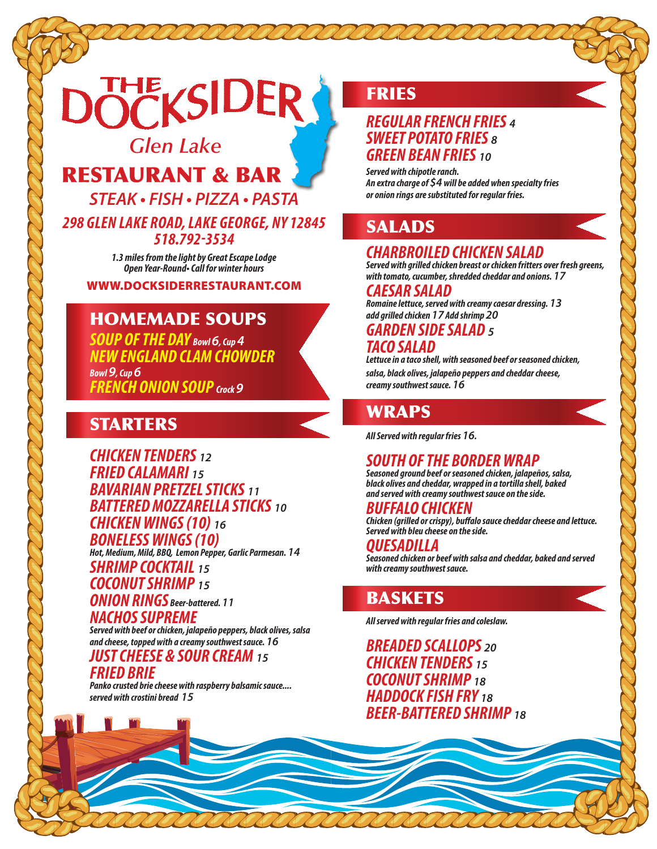# **THE KSIDER**

# *Glen Lake*

RESTAURANT & BAR

**STEAK • FISH • PIZZA • PASTA**

*298 GLEN LAKE ROAD, LAKE GEORGE, NY 12845 518.792-3534*

> *1.3 miles from the light by Great Escape Lodge* **Open Year-Round• Call for winter hours**

WWW.DOCKSIDERRESTAURANT.COM

# HOMEMADE SOUPS

*SOUP OF THE DAY Bowl 6, Cup 4 NEW ENGLAND CLAM CHOWDER Bowl 9, Cup 6 FRENCH ONION SOUP Crock 9*

# STARTERS

*CHICKEN TENDERS <sup>12</sup> FRIED CALAMARI <sup>15</sup> BAVARIAN PRETZEL STICKS <sup>11</sup> BATTERED MOZZARELLA STICKS <sup>10</sup> CHICKEN WINGS (10) <sup>16</sup> BONELESS WINGS (10)*

*Hot, Medium, Mild, BBQ, Lemon Pepper, Garlic Parmesan. 14*

*SHRIMP COCKTAIL <sup>15</sup> COCONUT SHRIMP <sup>15</sup> ONION RINGS Beer-battered. <sup>11</sup> NACHOS SUPREME*

*Served with beef or chicken, jalapeño peppers, black olives, salsa and cheese, topped with a creamy southwest sauce. 16*

#### *JUST CHEESE & SOUR CREAM <sup>15</sup> FRIED BRIE*

*Panko crusted brie cheese with raspberry balsamic sauce.... served with crostini bread 15*

# **FRIES**

#### *REGULAR FRENCH FRIES <sup>4</sup> SWEET POTATO FRIES <sup>8</sup> GREEN BEAN FRIES <sup>10</sup>*

*Served with chipotle ranch. An extra charge of \$4 will be added when specialty fries or onion rings are substituted for regular fries.*

# SALADS

# *CHARBROILED CHICKEN SALAD*

*Served with grilled chicken breast or chicken fritters over fresh greens, with tomato, cucumber, shredded cheddar and onions. 17 CAESAR SALAD*

*Romaine lettuce, served with creamy caesar dressing. 13 add grilled chicken 17 Add shrimp 20*

#### *GARDEN SIDE SALAD <sup>5</sup> TACO SALAD*

*Lettuce in a taco shell, with seasoned beef or seasoned chicken, salsa, black olives, jalapeño peppers and cheddar cheese, creamy southwest sauce. 16*

# WRAPS

*All Served with regular fries 16.*

## *SOUTH OF THE BORDER WRAP*

*Seasoned ground beef or seasoned chicken, jalapeños, salsa, black olives and cheddar, wrapped in a tortilla shell, baked and served with creamy southwest sauce on the side.*

#### *BUFFALO CHICKEN*

*Chicken (grilled or crispy), buffalo sauce cheddar cheese and lettuce. Served with bleu cheese on the side.*

#### *QUESADILLA*

*Seasoned chicken or beef with salsa and cheddar, baked and served with creamy southwest sauce.*

# BASKETS

*All served with regular fries and coleslaw.*

*BREADED SCALLOPS <sup>20</sup> CHICKEN TENDERS <sup>15</sup> COCONUT SHRIMP <sup>18</sup> HADDOCK FISH FRY <sup>18</sup> BEER-BATTERED SHRIMP <sup>18</sup>*